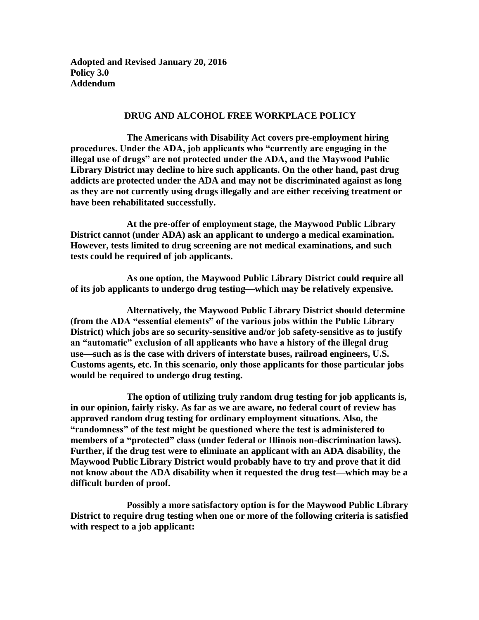**Adopted and Revised January 20, 2016 Policy 3.0 Addendum**

## **DRUG AND ALCOHOL FREE WORKPLACE POLICY**

**The Americans with Disability Act covers pre-employment hiring procedures. Under the ADA, job applicants who "currently are engaging in the illegal use of drugs" are not protected under the ADA, and the Maywood Public Library District may decline to hire such applicants. On the other hand, past drug addicts are protected under the ADA and may not be discriminated against as long as they are not currently using drugs illegally and are either receiving treatment or have been rehabilitated successfully.**

**At the pre-offer of employment stage, the Maywood Public Library District cannot (under ADA) ask an applicant to undergo a medical examination. However, tests limited to drug screening are not medical examinations, and such tests could be required of job applicants.**

**As one option, the Maywood Public Library District could require all of its job applicants to undergo drug testing—which may be relatively expensive.**

**Alternatively, the Maywood Public Library District should determine (from the ADA "essential elements" of the various jobs within the Public Library District) which jobs are so security-sensitive and/or job safety-sensitive as to justify an "automatic" exclusion of all applicants who have a history of the illegal drug use—such as is the case with drivers of interstate buses, railroad engineers, U.S. Customs agents, etc. In this scenario, only those applicants for those particular jobs would be required to undergo drug testing.**

**The option of utilizing truly random drug testing for job applicants is, in our opinion, fairly risky. As far as we are aware, no federal court of review has approved random drug testing for ordinary employment situations. Also, the "randomness" of the test might be questioned where the test is administered to members of a "protected" class (under federal or Illinois non-discrimination laws). Further, if the drug test were to eliminate an applicant with an ADA disability, the Maywood Public Library District would probably have to try and prove that it did not know about the ADA disability when it requested the drug test—which may be a difficult burden of proof.**

**Possibly a more satisfactory option is for the Maywood Public Library District to require drug testing when one or more of the following criteria is satisfied with respect to a job applicant:**